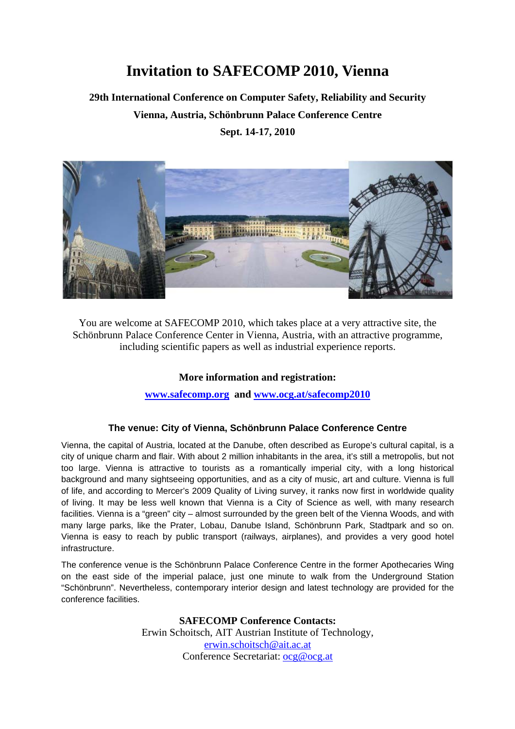# **Invitation to SAFECOMP 2010, Vienna**

### **29th International Conference on Computer Safety, Reliability and Security Vienna, Austria, Schönbrunn Palace Conference Centre Sept. 14-17, 2010**



You are welcome at SAFECOMP 2010, which takes place at a very attractive site, the Schönbrunn Palace Conference Center in Vienna, Austria, with an attractive programme, including scientific papers as well as industrial experience reports.

#### **More information and registration:**

**[www.safecomp.org](http://www.safecomp.org/) and [www.ocg.at/safecomp2010](http://www.ocg.at/safecomp2010)**

#### **The venue: City of Vienna, Schönbrunn Palace Conference Centre**

Vienna, the capital of Austria, located at the Danube, often described as Europe's cultural capital, is a city of unique charm and flair. With about 2 million inhabitants in the area, it's still a metropolis, but not too large. Vienna is attractive to tourists as a romantically imperial city, with a long historical background and many sightseeing opportunities, and as a city of music, art and culture. Vienna is full of life, and according to Mercer's 2009 Quality of Living survey, it ranks now first in worldwide quality of living. It may be less well known that Vienna is a City of Science as well, with many research facilities. Vienna is a "green" city – almost surrounded by the green belt of the Vienna Woods, and with many large parks, like the Prater, Lobau, Danube Island, Schönbrunn Park, Stadtpark and so on. Vienna is easy to reach by public transport (railways, airplanes), and provides a very good hotel infrastructure.

The conference venue is the Schönbrunn Palace Conference Centre in the former Apothecaries Wing on the east side of the imperial palace, just one minute to walk from the Underground Station "Schönbrunn". Nevertheless, contemporary interior design and latest technology are provided for the conference facilities.

> **SAFECOMP Conference Contacts:**  Erwin Schoitsch, AIT Austrian Institute of Technology, [erwin.schoitsch@ait.ac.at](mailto:erwin.schoitsch@ait.ac.at) Conference Secretariat: [ocg@ocg.at](mailto:ocg@ocg.at)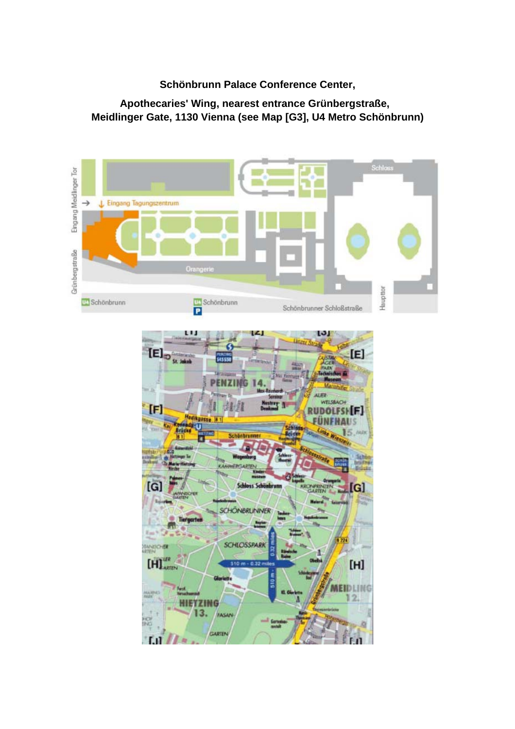### **Schönbrunn Palace Conference Center,**

### **Apothecaries' Wing, nearest entrance Grünbergstraße, Meidlinger Gate, 1130 Vienna (see Map [G3], U4 Metro Schönbrunn)**

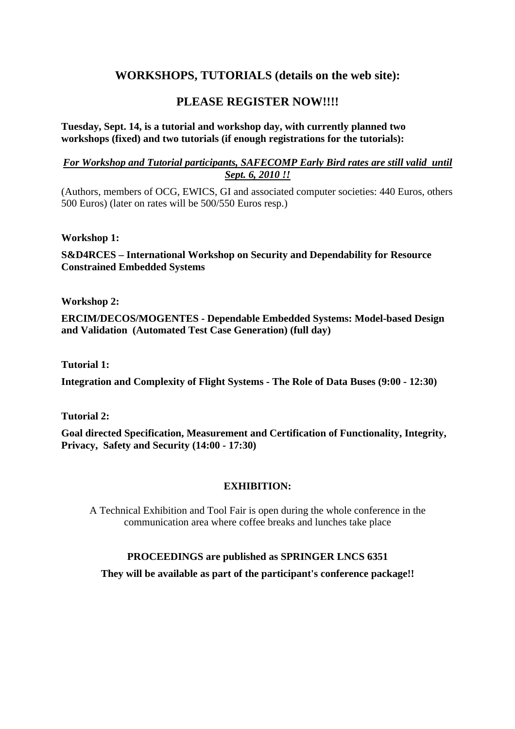### **WORKSHOPS, TUTORIALS (details on the web site):**

### PLEASE REGISTER NOW!!!!

#### **Tuesday, Sept. 14, is a tutorial and workshop day, with currently planned two workshops (fixed) and two tutorials (if enough registrations for the tutorials):**

#### *For Workshop and Tutorial participants, SAFECOMP Early Bird rates are still valid until Sept. 6, 2010 !!*

(Authors, members of OCG, EWICS, GI and associated computer societies: 440 Euros, others 500 Euros) (later on rates will be 500/550 Euros resp.)

#### **Workshop 1:**

**S&D4RCES – International Workshop on Security and Dependability for Resource Constrained Embedded Systems** 

**Workshop 2:** 

**ERCIM/DECOS/MOGENTES - Dependable Embedded Systems: Model-based Design and Validation (Automated Test Case Generation) (full day)** 

**Tutorial 1:** 

**Integration and Complexity of Flight Systems - The Role of Data Buses (9:00 - 12:30)** 

**Tutorial 2:** 

**Goal directed Specification, Measurement and Certification of Functionality, Integrity, Privacy, Safety and Security (14:00 - 17:30)** 

#### **EXHIBITION:**

A Technical Exhibition and Tool Fair is open during the whole conference in the communication area where coffee breaks and lunches take place

#### **PROCEEDINGS are published as SPRINGER LNCS 6351**

**They will be available as part of the participant's conference package!!**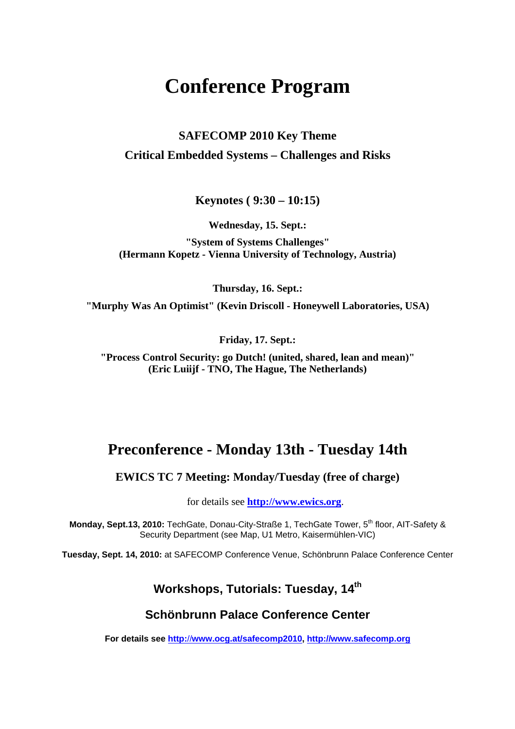# **Conference Program**

### **SAFECOMP 2010 Key Theme Critical Embedded Systems – Challenges and Risks**

**Keynotes ( 9:30 – 10:15)** 

**Wednesday, 15. Sept.:** 

**"System of Systems Challenges" (Hermann Kopetz - Vienna University of Technology, Austria)** 

**Thursday, 16. Sept.:** 

**"Murphy Was An Optimist" (Kevin Driscoll - Honeywell Laboratories, USA)** 

**Friday, 17. Sept.:** 

**"Process Control Security: go Dutch! (united, shared, lean and mean)" (Eric Luiijf - TNO, The Hague, The Netherlands)** 

### **Preconference - Monday 13th - Tuesday 14th**

**EWICS TC 7 Meeting: Monday/Tuesday (free of charge)** 

for details see **[http://www.ewics.org](http://www.ewics.org/)**.

**Monday, Sept.13, 2010:** TechGate, Donau-City-Straße 1, TechGate Tower, 5<sup>th</sup> floor, AIT-Safety & Security Department (see Map, U1 Metro, Kaisermühlen-VIC)

**Tuesday, Sept. 14, 2010:** at SAFECOMP Conference Venue, Schönbrunn Palace Conference Center

### **Workshops, Tutorials: Tuesday, 14th**

#### **Schönbrunn Palace Conference Center**

**For details see http:**//**[www.ocg.at/safecomp2010](http://www.ocg.at/safecomp2010), [http://www.safecomp.org](http://www.safecomp.org/)**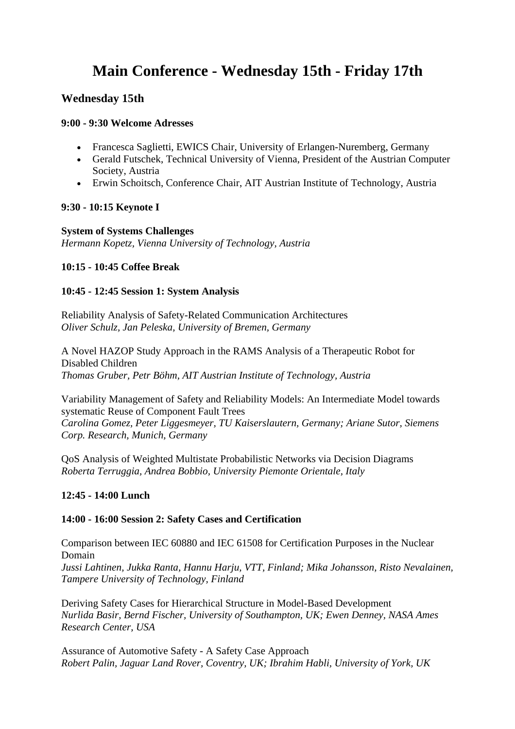# **Main Conference - Wednesday 15th - Friday 17th**

#### **Wednesday 15th**

#### **9:00 - 9:30 Welcome Adresses**

- Francesca Saglietti, EWICS Chair, University of Erlangen-Nuremberg, Germany
- Gerald Futschek, Technical University of Vienna, President of the Austrian Computer Society, Austria
- Erwin Schoitsch, Conference Chair, AIT Austrian Institute of Technology, Austria

#### **9:30 - 10:15 Keynote I**

**System of Systems Challenges**  *Hermann Kopetz, Vienna University of Technology, Austria* 

#### **10:15 - 10:45 Coffee Break**

#### **10:45 - 12:45 Session 1: System Analysis**

Reliability Analysis of Safety-Related Communication Architectures *Oliver Schulz, Jan Peleska, University of Bremen, Germany* 

A Novel HAZOP Study Approach in the RAMS Analysis of a Therapeutic Robot for Disabled Children *Thomas Gruber, Petr Böhm, AIT Austrian Institute of Technology, Austria* 

Variability Management of Safety and Reliability Models: An Intermediate Model towards systematic Reuse of Component Fault Trees *Carolina Gomez, Peter Liggesmeyer, TU Kaiserslautern, Germany; Ariane Sutor, Siemens Corp. Research, Munich, Germany* 

QoS Analysis of Weighted Multistate Probabilistic Networks via Decision Diagrams *Roberta Terruggia, Andrea Bobbio, University Piemonte Orientale, Italy* 

#### **12:45 - 14:00 Lunch**

#### **14:00 - 16:00 Session 2: Safety Cases and Certification**

Comparison between IEC 60880 and IEC 61508 for Certification Purposes in the Nuclear Domain *Jussi Lahtinen, Jukka Ranta, Hannu Harju, VTT, Finland; Mika Johansson, Risto Nevalainen, Tampere University of Technology, Finland* 

Deriving Safety Cases for Hierarchical Structure in Model-Based Development *Nurlida Basir, Bernd Fischer, University of Southampton, UK; Ewen Denney, NASA Ames Research Center, USA* 

Assurance of Automotive Safety - A Safety Case Approach *Robert Palin, Jaguar Land Rover, Coventry, UK; Ibrahim Habli, University of York, UK*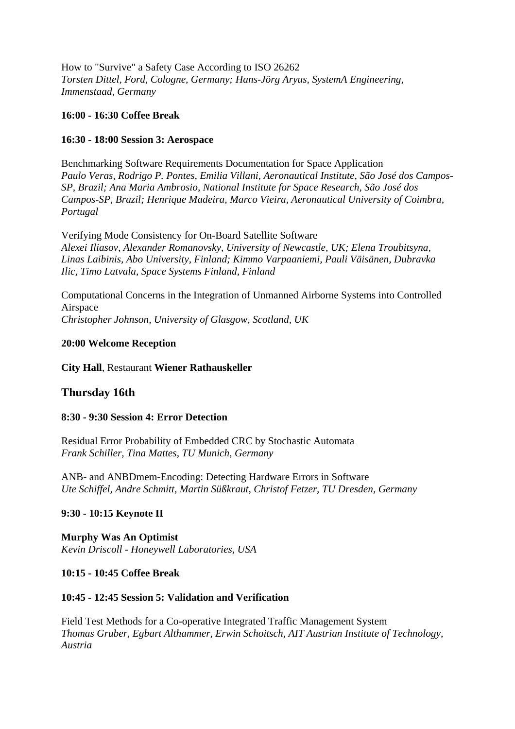How to "Survive" a Safety Case According to ISO 26262 *Torsten Dittel, Ford, Cologne, Germany; Hans-Jörg Aryus, SystemA Engineering, Immenstaad, Germany* 

#### **16:00 - 16:30 Coffee Break**

#### **16:30 - 18:00 Session 3: Aerospace**

Benchmarking Software Requirements Documentation for Space Application *Paulo Veras, Rodrigo P. Pontes, Emilia Villani, Aeronautical Institute, São José dos Campos-SP, Brazil; Ana Maria Ambrosio, National Institute for Space Research, São José dos Campos-SP, Brazil; Henrique Madeira, Marco Vieira, Aeronautical University of Coimbra, Portugal* 

Verifying Mode Consistency for On-Board Satellite Software *Alexei Iliasov, Alexander Romanovsky, University of Newcastle, UK; Elena Troubitsyna, Linas Laibinis, Abo University, Finland; Kimmo Varpaaniemi, Pauli Väisänen, Dubravka Ilic, Timo Latvala, Space Systems Finland, Finland* 

Computational Concerns in the Integration of Unmanned Airborne Systems into Controlled Airspace *Christopher Johnson, University of Glasgow, Scotland, UK* 

#### **20:00 Welcome Reception**

**City Hall**, Restaurant **Wiener Rathauskeller**

#### **Thursday 16th**

#### **8:30 - 9:30 Session 4: Error Detection**

Residual Error Probability of Embedded CRC by Stochastic Automata *Frank Schiller, Tina Mattes, TU Munich, Germany* 

ANB- and ANBDmem-Encoding: Detecting Hardware Errors in Software *Ute Schiffel, Andre Schmitt, Martin Süßkraut, Christof Fetzer, TU Dresden, Germany* 

#### **9:30 - 10:15 Keynote II**

**Murphy Was An Optimist**  *Kevin Driscoll - Honeywell Laboratories, USA* 

#### **10:15 - 10:45 Coffee Break**

#### **10:45 - 12:45 Session 5: Validation and Verification**

Field Test Methods for a Co-operative Integrated Traffic Management System *Thomas Gruber, Egbart Althammer, Erwin Schoitsch, AIT Austrian Institute of Technology, Austria*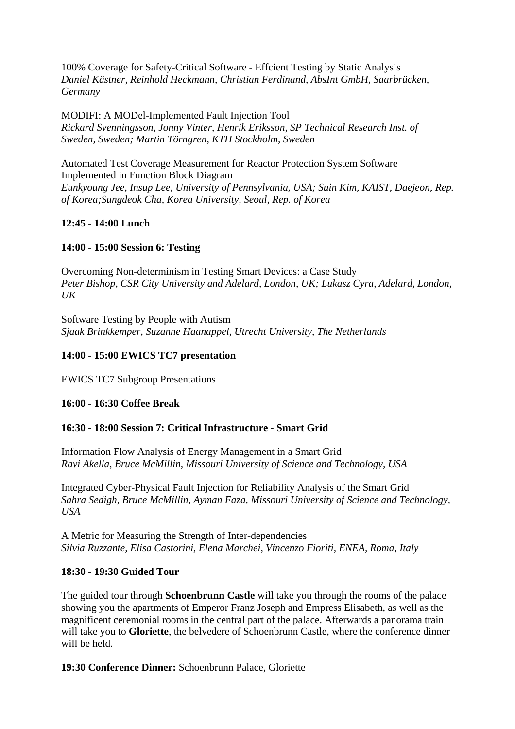100% Coverage for Safety-Critical Software - Effcient Testing by Static Analysis *Daniel Kästner, Reinhold Heckmann, Christian Ferdinand, AbsInt GmbH, Saarbrücken, Germany* 

MODIFI: A MODel-Implemented Fault Injection Tool *Rickard Svenningsson, Jonny Vinter, Henrik Eriksson, SP Technical Research Inst. of Sweden, Sweden; Martin Törngren, KTH Stockholm, Sweden* 

Automated Test Coverage Measurement for Reactor Protection System Software Implemented in Function Block Diagram *Eunkyoung Jee, Insup Lee, University of Pennsylvania, USA; Suin Kim, KAIST, Daejeon, Rep. of Korea;Sungdeok Cha, Korea University, Seoul, Rep. of Korea* 

#### **12:45 - 14:00 Lunch**

#### **14:00 - 15:00 Session 6: Testing**

Overcoming Non-determinism in Testing Smart Devices: a Case Study *Peter Bishop, CSR City University and Adelard, London, UK; Lukasz Cyra, Adelard, London,*   $I/K$ 

Software Testing by People with Autism *Sjaak Brinkkemper, Suzanne Haanappel, Utrecht University, The Netherlands* 

#### **14:00 - 15:00 EWICS TC7 presentation**

EWICS TC7 Subgroup Presentations

#### **16:00 - 16:30 Coffee Break**

#### **16:30 - 18:00 Session 7: Critical Infrastructure - Smart Grid**

Information Flow Analysis of Energy Management in a Smart Grid *Ravi Akella, Bruce McMillin, Missouri University of Science and Technology, USA* 

Integrated Cyber-Physical Fault Injection for Reliability Analysis of the Smart Grid *Sahra Sedigh, Bruce McMillin, Ayman Faza, Missouri University of Science and Technology, USA* 

A Metric for Measuring the Strength of Inter-dependencies *Silvia Ruzzante, Elisa Castorini, Elena Marchei, Vincenzo Fioriti, ENEA, Roma, Italy* 

#### **18:30 - 19:30 Guided Tour**

The guided tour through **Schoenbrunn Castle** will take you through the rooms of the palace showing you the apartments of Emperor Franz Joseph and Empress Elisabeth, as well as the magnificent ceremonial rooms in the central part of the palace. Afterwards a panorama train will take you to **Gloriette**, the belvedere of Schoenbrunn Castle, where the conference dinner will be held.

**19:30 Conference Dinner:** Schoenbrunn Palace, Gloriette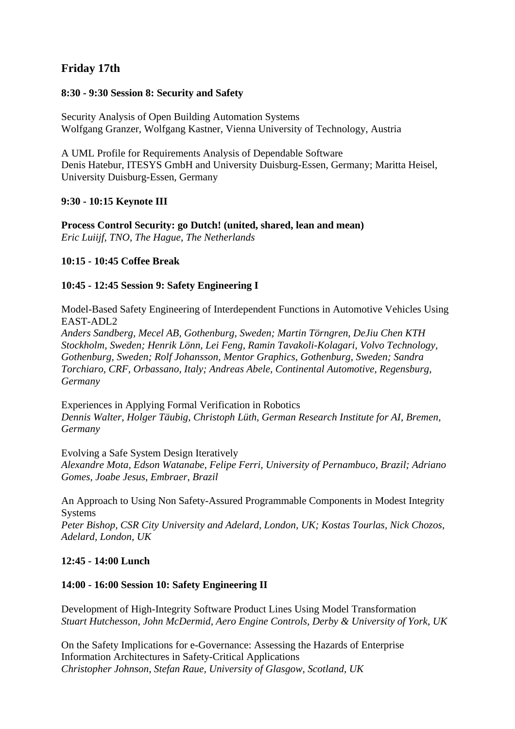### **Friday 17th**

#### **8:30 - 9:30 Session 8: Security and Safety**

Security Analysis of Open Building Automation Systems Wolfgang Granzer, Wolfgang Kastner, Vienna University of Technology, Austria

A UML Profile for Requirements Analysis of Dependable Software Denis Hatebur, ITESYS GmbH and University Duisburg-Essen, Germany; Maritta Heisel, University Duisburg-Essen, Germany

#### **9:30 - 10:15 Keynote III**

**Process Control Security: go Dutch! (united, shared, lean and mean)**  *Eric Luiijf, TNO, The Hague, The Netherlands* 

#### **10:15 - 10:45 Coffee Break**

#### **10:45 - 12:45 Session 9: Safety Engineering I**

Model-Based Safety Engineering of Interdependent Functions in Automotive Vehicles Using EAST-ADL2

*Anders Sandberg, Mecel AB, Gothenburg, Sweden; Martin Törngren, DeJiu Chen KTH Stockholm, Sweden; Henrik Lönn, Lei Feng, Ramin Tavakoli-Kolagari, Volvo Technology, Gothenburg, Sweden; Rolf Johansson, Mentor Graphics, Gothenburg, Sweden; Sandra Torchiaro, CRF, Orbassano, Italy; Andreas Abele, Continental Automotive, Regensburg, Germany* 

Experiences in Applying Formal Verification in Robotics *Dennis Walter, Holger Täubig, Christoph Lüth, German Research Institute for AI, Bremen, Germany* 

Evolving a Safe System Design Iteratively

*Alexandre Mota, Edson Watanabe, Felipe Ferri, University of Pernambuco, Brazil; Adriano Gomes, Joabe Jesus, Embraer, Brazil* 

An Approach to Using Non Safety-Assured Programmable Components in Modest Integrity **Systems** 

*Peter Bishop, CSR City University and Adelard, London, UK; Kostas Tourlas, Nick Chozos, Adelard, London, UK* 

#### **12:45 - 14:00 Lunch**

#### **14:00 - 16:00 Session 10: Safety Engineering II**

Development of High-Integrity Software Product Lines Using Model Transformation *Stuart Hutchesson, John McDermid, Aero Engine Controls, Derby & University of York, UK* 

On the Safety Implications for e-Governance: Assessing the Hazards of Enterprise Information Architectures in Safety-Critical Applications *Christopher Johnson, Stefan Raue, University of Glasgow, Scotland, UK*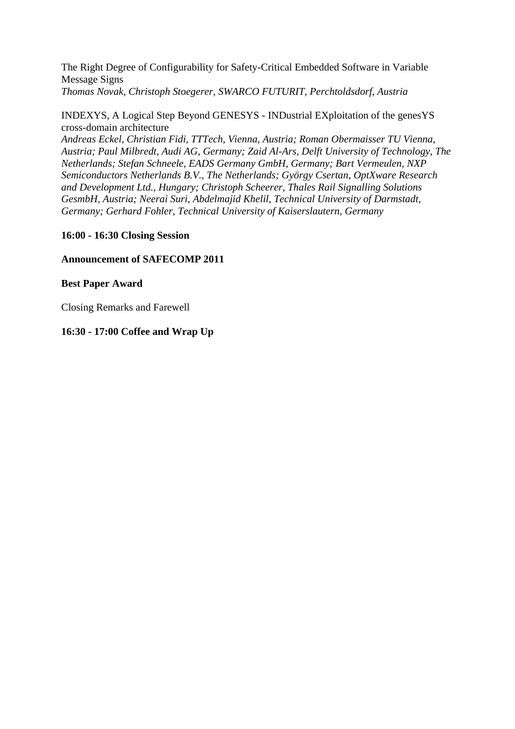The Right Degree of Configurability for Safety-Critical Embedded Software in Variable Message Signs *Thomas Novak, Christoph Stoegerer, SWARCO FUTURIT, Perchtoldsdorf, Austria* 

INDEXYS, A Logical Step Beyond GENESYS - INDustrial EXploitation of the genesYS cross-domain architecture

*Andreas Eckel, Christian Fidi, TTTech, Vienna, Austria; Roman Obermaisser TU Vienna, Austria; Paul Milbredt, Audi AG, Germany; Zaid Al-Ars, Delft University of Technology, The Netherlands; Stefan Schneele, EADS Germany GmbH, Germany; Bart Vermeulen, NXP Semiconductors Netherlands B.V., The Netherlands; György Csertan, OptXware Research and Development Ltd., Hungary; Christoph Scheerer, Thales Rail Signalling Solutions GesmbH, Austria; Neerai Suri, Abdelmajid Khelil, Technical University of Darmstadt, Germany; Gerhard Fohler, Technical University of Kaiserslautern, Germany* 

#### **16:00 - 16:30 Closing Session**

#### **Announcement of SAFECOMP 2011**

#### **Best Paper Award**

Closing Remarks and Farewell

#### **16:30 - 17:00 Coffee and Wrap Up**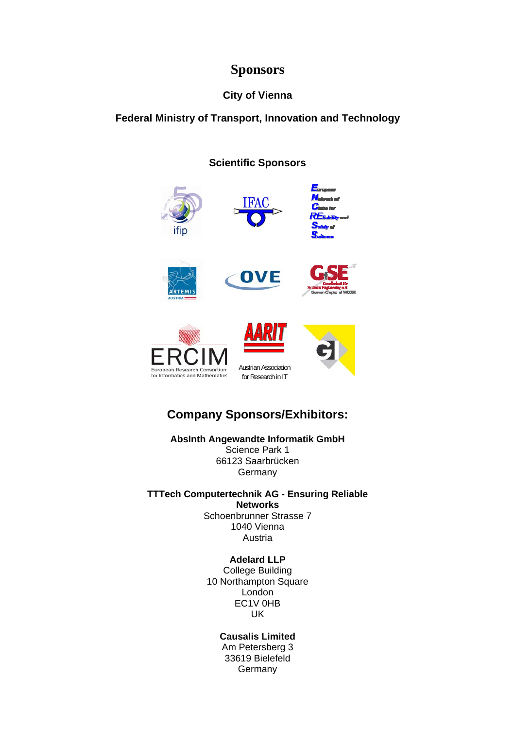### **Sponsors**

### **City of Vienna**

#### **Federal Ministry of Transport, Innovation and Technology**

#### **Scientific Sponsors**



### **Company Sponsors/Exhibitors:**

**AbsInth Angewandte Informatik GmbH**  Science Park 1 66123 Saarbrücken **Germany** 

**TTTech Computertechnik AG - Ensuring Reliable Networks**  Schoenbrunner Strasse 7 1040 Vienna Austria

> **Adelard LLP**  College Building 10 Northampton Square London EC1V 0HB UK

> > **Causalis Limited**  Am Petersberg 3 33619 Bielefeld **Germany**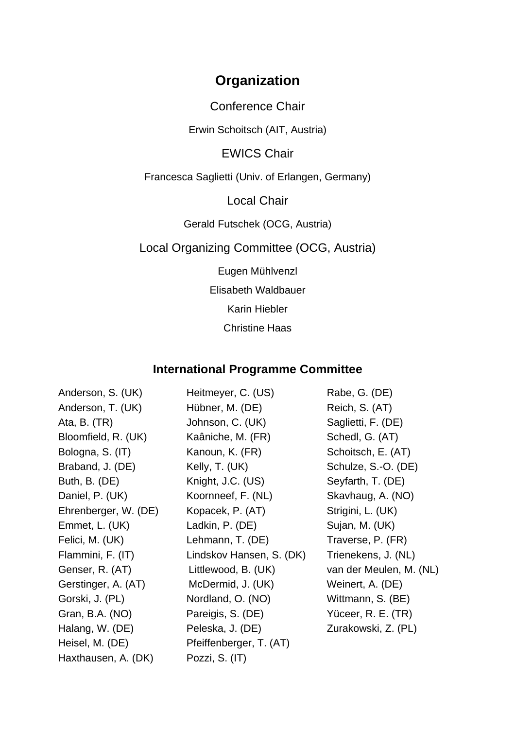## **Organization**

Conference Chair

Erwin Schoitsch (AIT, Austria)

EWICS Chair

Francesca Saglietti (Univ. of Erlangen, Germany)

Local Chair

Gerald Futschek (OCG, Austria)

Local Organizing Committee (OCG, Austria)

Eugen Mühlvenzl

Elisabeth Waldbauer

Karin Hiebler

Christine Haas

### **International Programme Committee**

| Anderson, S. (UK)    | Heitmeyer, C. (US)       | Rabe, G. (DE)           |
|----------------------|--------------------------|-------------------------|
| Anderson, T. (UK)    | Hübner, M. (DE)          | Reich, S. (AT)          |
| Ata, B. $(TR)$       | Johnson, C. (UK)         | Saglietti, F. (DE)      |
| Bloomfield, R. (UK)  | Kaâniche, M. (FR)        | Schedl, G. (AT)         |
| Bologna, S. (IT)     | Kanoun, K. (FR)          | Schoitsch, E. (AT)      |
| Braband, J. (DE)     | Kelly, T. (UK)           | Schulze, S.-O. (DE)     |
| Buth, B. (DE)        | Knight, J.C. (US)        | Seyfarth, T. (DE)       |
| Daniel, P. (UK)      | Koornneef, F. (NL)       | Skavhaug, A. (NO)       |
| Ehrenberger, W. (DE) | Kopacek, P. (AT)         | Strigini, L. (UK)       |
| Emmet, L. (UK)       | Ladkin, P. (DE)          | Sujan, M. (UK)          |
| Felici, M. (UK)      | Lehmann, T. (DE)         | Traverse, P. (FR)       |
| Flammini, F. (IT)    | Lindskov Hansen, S. (DK) | Trienekens, J. (NL)     |
| Genser, R. (AT)      | Littlewood, B. (UK)      | van der Meulen, M. (NL) |
| Gerstinger, A. (AT)  | McDermid, J. (UK)        | Weinert, A. (DE)        |
| Gorski, J. (PL)      | Nordland, O. (NO)        | Wittmann, S. (BE)       |
| Gran, B.A. (NO)      | Pareigis, S. (DE)        | Yüceer, R. E. (TR)      |
| Halang, W. (DE)      | Peleska, J. (DE)         | Zurakowski, Z. (PL)     |
| Heisel, M. (DE)      | Pfeiffenberger, T. (AT)  |                         |
| Haxthausen, A. (DK)  | Pozzi, S. (IT)           |                         |